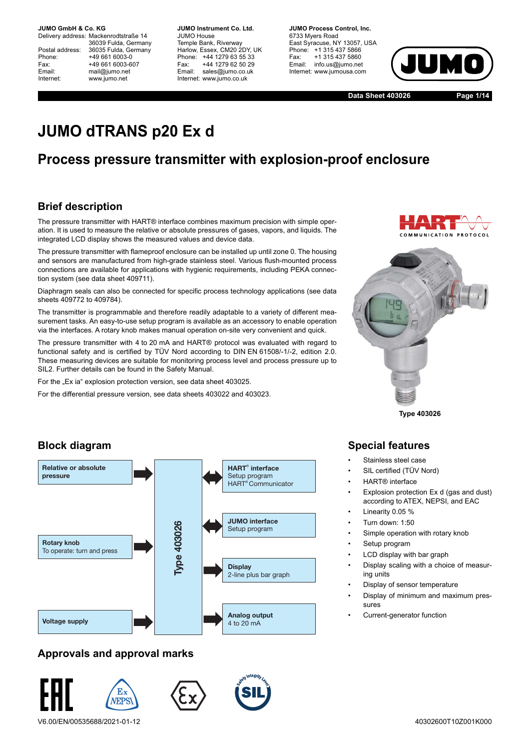Delivery address: Mackenrodtstraße 14 36039 Fulda, Germany Postal address: 36035 Fulda, Germany<br>Phone: +49 661 6003-0 Phone: +49 661 6003-0<br>Fax: +49 661 6003-6 Fax: +49 661 6003-607<br>
Fmail: mail@iumo.net mail@iumo.net Internet: www.jumo.net

**-BUMO Instrument Co. Ltd.** JUMO House Temple Bank, Riverway Harlow, Essex, CM20 2DY, UK Phone: +44 1279 63 55 33<br>Fax: +44 1279 62 50 29 Fax: +44 1279 62 50 29<br>Email: sales@iumo.co.uk sales@jumo.co.uk Internet: www.jumo.co.uk

**-BURG Process Control Inc.** 6733 Myers Road East Syracuse, NY 13057, USA Phone: +1 315 437 5866<br>Fax: +1 315 437 5860 Fax: +1 315 437 5860<br>Email: info.us@jumo.net info.us@jumo.net Internet: www.jumousa.com



**Data Sheet 403026 Page 1/14**

# **JUMO dTRANS p20 Ex d**

## **Process pressure transmitter with explosion-proof enclosure**

## **Brief description**

The pressure transmitter with HART® interface combines maximum precision with simple operation. It is used to measure the relative or absolute pressures of gases, vapors, and liquids. The integrated LCD display shows the measured values and device data.

The pressure transmitter with flameproof enclosure can be installed up until zone 0. The housing and sensors are manufactured from high-grade stainless steel. Various flush-mounted process connections are available for applications with hygienic requirements, including PEKA connection system (see data sheet 409711).

Diaphragm seals can also be connected for specific process technology applications (see data sheets 409772 to 409784).

The transmitter is programmable and therefore readily adaptable to a variety of different measurement tasks. An easy-to-use setup program is available as an accessory to enable operation via the interfaces. A rotary knob makes manual operation on-site very convenient and quick.

The pressure transmitter with 4 to 20 mA and HART® protocol was evaluated with regard to functional safety and is certified by TÜV Nord according to DIN EN 61508/-1/-2, edition 2.0. These measuring devices are suitable for monitoring process level and process pressure up to SIL2. Further details can be found in the Safety Manual.

For the "Ex ia" explosion protection version, see data sheet 403025.

For the differential pressure version, see data sheets 403022 and 403023.



**Type 403026**

### **Block diagram**



#### **Approvals and approval marks**



## **Special features**

- Stainless steel case
- SIL certified (TÜV Nord)
- HART® interface
- Explosion protection Ex d (gas and dust) according to ATEX, NEPSI, and EAC
	- Linearity 0.05 %
- Turn down: 1:50
- Simple operation with rotary knob
- Setup program
- LCD display with bar graph
- Display scaling with a choice of measuring units
- Display of sensor temperature
- Display of minimum and maximum pressures
- Current-generator function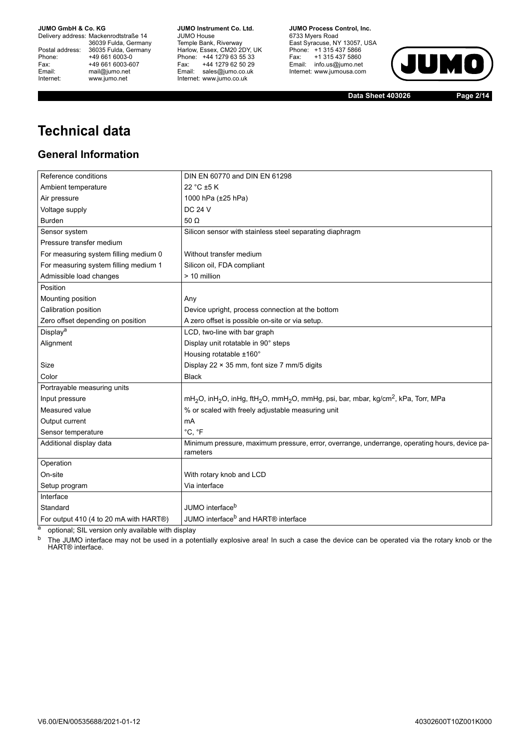Delivery address: Mackenrodtstraße 14 36039 Fulda, Germany<br>Postal address: 36035 Fulda, Germany Phone: +49 661 6003-0<br>
Fax: +49 661 6003-6<br>
Email: mail@jumo.net +49 661 6003-607 Email: mail@jumo.net<br>Internet: www.iumo.net www.jumo.net

**JUMO Instrument Co. Ltd.** JUMO House Temple Bank, Riverway<br>Harlow, Essex, CM20 2DY, UK Phone: +44 1279 63 55 33<br>Fax: +44 1279 62 50 29 +44 1279 62 50 29 Email: sales@jumo.co.uk Internet: www.jumo.co.uk

**JUMO Process Control, Inc.** 6733 Myers Road East Syracuse, NY 13057, USA<br>Phone: +1 315 437 5866<br>Fax: +1 315 437 5860 Fax: +1 315 437 5860<br>Email: info.us@jumo.net Internet: www.jumousa.com



**Data Sheet 403026 Page 2/14**

# **Technical data**

### **General Information**

| Reference conditions                   | DIN EN 60770 and DIN EN 61298                                                                                                                  |
|----------------------------------------|------------------------------------------------------------------------------------------------------------------------------------------------|
| Ambient temperature                    | 22 °C ±5 K                                                                                                                                     |
| Air pressure                           | 1000 hPa (±25 hPa)                                                                                                                             |
| Voltage supply                         | <b>DC 24 V</b>                                                                                                                                 |
| <b>Burden</b>                          | 50 $\Omega$                                                                                                                                    |
| Sensor system                          | Silicon sensor with stainless steel separating diaphragm                                                                                       |
| Pressure transfer medium               |                                                                                                                                                |
| For measuring system filling medium 0  | Without transfer medium                                                                                                                        |
| For measuring system filling medium 1  | Silicon oil, FDA compliant                                                                                                                     |
| Admissible load changes                | > 10 million                                                                                                                                   |
| Position                               |                                                                                                                                                |
| Mounting position                      | Any                                                                                                                                            |
| Calibration position                   | Device upright, process connection at the bottom                                                                                               |
| Zero offset depending on position      | A zero offset is possible on-site or via setup.                                                                                                |
| Display <sup>a</sup>                   | LCD, two-line with bar graph                                                                                                                   |
| Alignment                              | Display unit rotatable in 90° steps                                                                                                            |
|                                        | Housing rotatable ±160°                                                                                                                        |
| Size                                   | Display 22 $\times$ 35 mm, font size 7 mm/5 digits                                                                                             |
| Color                                  | <b>Black</b>                                                                                                                                   |
| Portrayable measuring units            |                                                                                                                                                |
| Input pressure                         | mH <sub>2</sub> O, inH <sub>2</sub> O, inHg, ftH <sub>2</sub> O, mmH <sub>2</sub> O, mmHg, psi, bar, mbar, kg/cm <sup>2</sup> , kPa, Torr, MPa |
| Measured value                         | % or scaled with freely adjustable measuring unit                                                                                              |
| Output current                         | mA                                                                                                                                             |
| Sensor temperature                     | °C, °F                                                                                                                                         |
| Additional display data                | Minimum pressure, maximum pressure, error, overrange, underrange, operating hours, device pa-<br>rameters                                      |
| Operation                              |                                                                                                                                                |
| On-site                                | With rotary knob and LCD                                                                                                                       |
| Setup program                          | Via interface                                                                                                                                  |
| Interface                              |                                                                                                                                                |
| Standard                               | JUMO interface <sup>b</sup>                                                                                                                    |
| For output 410 (4 to 20 mA with HART®) | JUMO interface <sup>b</sup> and HART <sup>®</sup> interface                                                                                    |

 $\overline{a}$  optional; SIL version only available with display<br>  $\overline{b}$  The ILIMO interface may not be used in a note

The JUMO interface may not be used in a potentially explosive area! In such a case the device can be operated via the rotary knob or the HART® interface.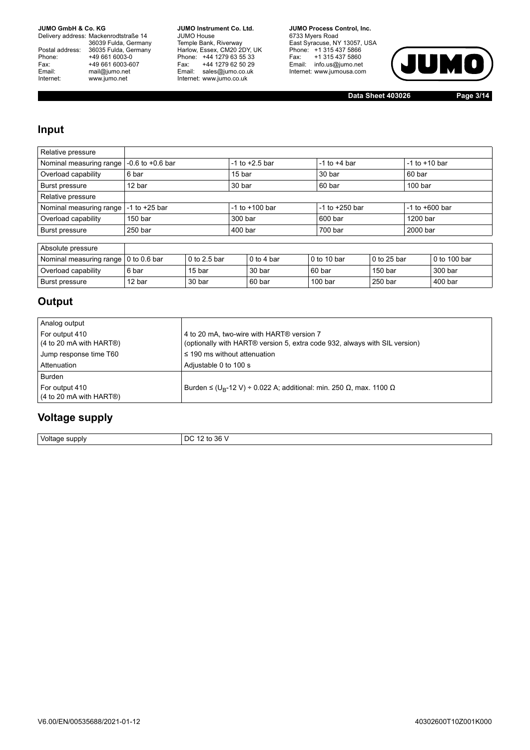Delivery address: Mackenrodtstraße 14 36039 Fulda, Germany<br>Postal address: 36035 Fulda, Germany Phone: +49 661 6003-0<br>
Fax: +49 661 6003-6<br>
Email: mail@jumo.net +49 661 6003-607 Email: mail@jumo.net<br>Internet: www.iumo.net www.jumo.net

**JUMO Instrument Co. Ltd.** JUMO House Temple Bank, Riverway<br>Harlow, Essex, CM20 2DY, UK<br>Phone: +44 1279 63 55 33 Fax: +44 1279 62 50 29<br>Email: sales@jumo.co.uk Internet: www.jumo.co.uk

**JUMO Process Control, Inc.** 6733 Myers Road East Syracuse, NY 13057, USA<br>Phone: +1 315 437 5866<br>Fax: +1 315 437 5860 Email: info.us@jumo.net Internet: www.jumousa.com



**Data Sheet 403026 Page 3/14**

#### **Input**

| Relative pressure       |                      |                |                    |                    |                    |                    |                    |                    |              |  |
|-------------------------|----------------------|----------------|--------------------|--------------------|--------------------|--------------------|--------------------|--------------------|--------------|--|
| Nominal measuring range | $-0.6$ to $+0.6$ bar |                |                    | $-1$ to $+2.5$ bar |                    | $-1$ to $+4$ bar   |                    | $-1$ to $+10$ bar  |              |  |
| Overload capability     | 6 bar                |                |                    | 15 bar             |                    | 30 bar             |                    | 60 bar             |              |  |
| Burst pressure          | 12 bar               |                | 30 bar             |                    | 60 bar             |                    |                    | 100 <sub>bar</sub> |              |  |
| Relative pressure       |                      |                |                    |                    |                    |                    |                    |                    |              |  |
| Nominal measuring range | $-1$ to $+25$ bar    |                | $-1$ to $+100$ bar |                    |                    | $-1$ to $+250$ bar |                    | $-1$ to $+600$ bar |              |  |
| Overload capability     | 150 <sub>bar</sub>   |                | 300 bar            |                    |                    | 600 bar            |                    |                    | 1200 bar     |  |
| Burst pressure          | 250 bar              |                | $400$ bar          |                    |                    | 700 bar            |                    | 2000 bar           |              |  |
|                         |                      |                |                    |                    |                    |                    |                    |                    |              |  |
| Absolute pressure       |                      |                |                    |                    |                    |                    |                    |                    |              |  |
| Nominal measuring range | $0$ to $0.6$ bar     | $0$ to 2.5 bar |                    | $0$ to 4 bar       |                    | 0 to 10 bar        | 0 to 25 bar        |                    | 0 to 100 bar |  |
| Overload capability     | 6 bar                | 15 bar         |                    | 30 bar             | 60 bar             |                    | 150 <sub>bar</sub> |                    | 300 bar      |  |
| Burst pressure          | 12 bar               | 30 bar         |                    | 60 bar             | 100 <sub>bar</sub> |                    | 250 bar            |                    | 400 bar      |  |

## **Output**

| Analog output                                                           |                                                                                                                         |
|-------------------------------------------------------------------------|-------------------------------------------------------------------------------------------------------------------------|
| For output 410<br>$(4 \text{ to } 20 \text{ mA with HART}$ <sup>®</sup> | 4 to 20 mA, two-wire with HART® version 7<br>(optionally with HART® version 5, extra code 932, always with SIL version) |
| Jump response time T60                                                  | $\leq$ 190 ms without attenuation                                                                                       |
| Attenuation                                                             | Adjustable 0 to 100 s                                                                                                   |
| Burden                                                                  |                                                                                                                         |
| For output 410<br>$(4 \text{ to } 20 \text{ mA with HART@})$            | Burden $\leq$ (U <sub>B</sub> -12 V) ÷ 0.022 A; additional: min. 250 $\Omega$ , max. 1100 $\Omega$                      |

### **Voltage supply**

Voltage supply DC 12 to 36 V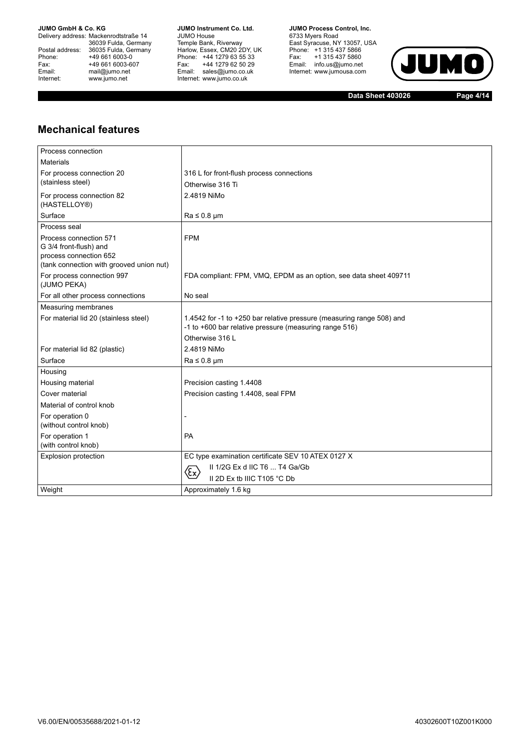Delivery address: Mackenrodtstraße 14 36039 Fulda, Germany<br>Postal address: 36035 Fulda, Germany Phone: +49 661 6003-0<br>
Fax: +49 661 6003-6<br>
Email: mail@jumo.net +49 661 6003-607 Email: mail@jumo.net<br>Internet: www.iumo.net www.jumo.net

**JUMO Instrument Co. Ltd.** JUMO House Temple Bank, Riverway<br>Harlow, Essex, CM20 2DY, UK<br>Phone: +44 1279 63 55 33 Fax: +44 1279 62 50 29<br>Email: sales@jumo.co.uk Internet: www.jumo.co.uk

**JUMO Process Control. Inc.** 6733 Myers Road East Syracuse, NY 13057, USA<br>Phone: +1 315 437 5866<br>Fax: +1 315 437 5860 Email: info.us@jumo.net Internet: www.jumousa.com



**Data Sheet 403026 Page 4/14**

## **Mechanical features**

| Process connection                               |                                                                       |
|--------------------------------------------------|-----------------------------------------------------------------------|
| <b>Materials</b>                                 |                                                                       |
| For process connection 20                        | 316 L for front-flush process connections                             |
| (stainless steel)                                | Otherwise 316 Ti                                                      |
| For process connection 82                        | 2.4819 NiMo                                                           |
| (HASTELLOY®)                                     |                                                                       |
| Surface                                          | $Ra \leq 0.8$ µm                                                      |
| Process seal                                     |                                                                       |
| Process connection 571                           | <b>FPM</b>                                                            |
| G 3/4 front-flush) and<br>process connection 652 |                                                                       |
| (tank connection with grooved union nut)         |                                                                       |
| For process connection 997                       | FDA compliant: FPM, VMQ, EPDM as an option, see data sheet 409711     |
| (JUMO PEKA)                                      |                                                                       |
| For all other process connections                | No seal                                                               |
| <b>Measuring membranes</b>                       |                                                                       |
| For material lid 20 (stainless steel)            | 1.4542 for -1 to +250 bar relative pressure (measuring range 508) and |
|                                                  | -1 to +600 bar relative pressure (measuring range 516)                |
|                                                  | Otherwise 316 L                                                       |
| For material lid 82 (plastic)                    | 2.4819 NiMo                                                           |
| Surface                                          | $Ra \leq 0.8$ µm                                                      |
| Housing                                          |                                                                       |
| Housing material                                 | Precision casting 1.4408                                              |
| Cover material                                   | Precision casting 1.4408, seal FPM                                    |
| Material of control knob                         |                                                                       |
| For operation 0                                  |                                                                       |
| (without control knob)                           |                                                                       |
| For operation 1                                  | <b>PA</b>                                                             |
| (with control knob)                              |                                                                       |
| Explosion protection                             | EC type examination certificate SEV 10 ATEX 0127 X                    |
|                                                  | II 1/2G Ex d IIC T6  T4 Ga/Gb<br>Œx)                                  |
|                                                  | II 2D Ex tb IIIC T105 °C Db                                           |
| Weight                                           | Approximately 1.6 kg                                                  |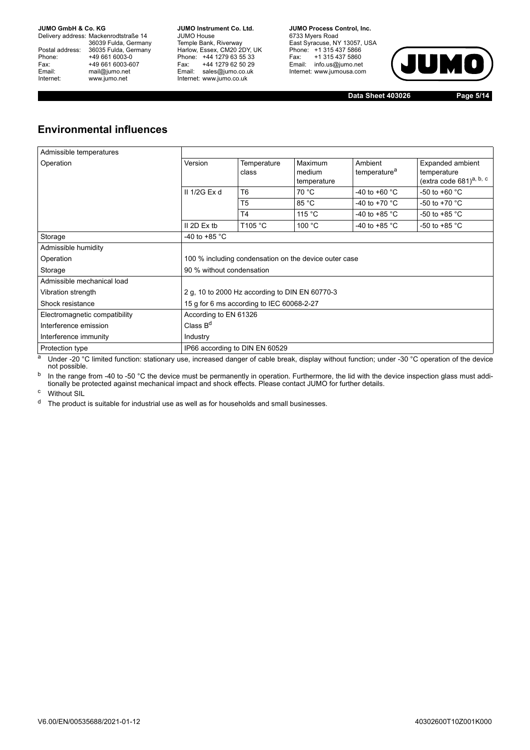Delivery address: Mackenrodtstraße 14 36039 Fulda, Germany<br>Postal address: 36035 Fulda, Germany Phone: +49 661 6003-0<br>
Fax: +49 661 6003-6<br>
Email: mail@jumo.net +49 661 6003-607 mail@jumo.net Internet: www.jumo.net

**JUMO Instrument Co. Ltd.** JUMO House Temple Bank, Riverway<br>Harlow, Essex, CM20 2DY, UK Phone: +44 1279 63 55 33<br>Fax: +44 1279 62 50 29 +44 1279 62 50 29 Email: sales@jumo.co.uk Internet: www.jumo.co.uk

**JUMO Process Control, Inc.** 6733 Myers Road East Syracuse, NY 13057, USA Phone: +1 315 437 5866<br>Fax: +1 315 437 5860 rax. Tribit 437 5000<br>Email: info.us@jumo.net Internet: www.jumousa.com



**Data Sheet 403026 Page 5/14**

## **Environmental influences**

| Admissible temperatures       |                                                       |                                           |                                  |                                     |                                                                        |  |
|-------------------------------|-------------------------------------------------------|-------------------------------------------|----------------------------------|-------------------------------------|------------------------------------------------------------------------|--|
| Operation                     | Version                                               | Temperature<br>class                      | Maximum<br>medium<br>temperature | Ambient<br>temperature <sup>a</sup> | Expanded ambient<br>temperature<br>(extra code 681) <sup>a, b, c</sup> |  |
|                               | II 1/2G Ex d                                          | T6                                        | 70 °C                            | $-40$ to $+60$ °C                   | -50 to +60 $^{\circ}$ C                                                |  |
|                               |                                                       | T <sub>5</sub>                            | 85 °C                            | -40 to +70 $^{\circ}$ C             | -50 to +70 $^{\circ}$ C                                                |  |
|                               |                                                       | T4                                        | 115 $\degree$ C                  | -40 to +85 $^{\circ}$ C             | -50 to +85 $^{\circ}$ C                                                |  |
|                               | $II$ 2D Ex tb                                         | T105 °C                                   | 100 °C                           | -40 to +85 $^{\circ}$ C             | -50 to +85 $^{\circ}$ C                                                |  |
| Storage                       | -40 to +85 $^{\circ}$ C                               |                                           |                                  |                                     |                                                                        |  |
| Admissible humidity           |                                                       |                                           |                                  |                                     |                                                                        |  |
| Operation                     | 100 % including condensation on the device outer case |                                           |                                  |                                     |                                                                        |  |
| Storage                       | 90 % without condensation                             |                                           |                                  |                                     |                                                                        |  |
| Admissible mechanical load    |                                                       |                                           |                                  |                                     |                                                                        |  |
| Vibration strength            | 2 g, 10 to 2000 Hz according to DIN EN 60770-3        |                                           |                                  |                                     |                                                                        |  |
| Shock resistance              |                                                       | 15 g for 6 ms according to IEC 60068-2-27 |                                  |                                     |                                                                        |  |
| Electromagnetic compatibility | According to EN 61326                                 |                                           |                                  |                                     |                                                                        |  |
| Interference emission         | Class $Bd$                                            |                                           |                                  |                                     |                                                                        |  |
| Interference immunity         | Industry                                              |                                           |                                  |                                     |                                                                        |  |
| Protection type               | IP66 according to DIN EN 60529                        |                                           |                                  |                                     |                                                                        |  |

a Under -20 °C limited function: stationary use, increased danger of cable break, display without function; under -30 °C operation of the device not possible.

<sup>b</sup> In the range from -40 to -50 °C the device must be permanently in operation. Furthermore, the lid with the device inspection glass must addi-<br>tionally be protected against mechanical impact and shock effects. Please co

<sup>c</sup> Without SIL

<sup>d</sup> The product is suitable for industrial use as well as for households and small businesses.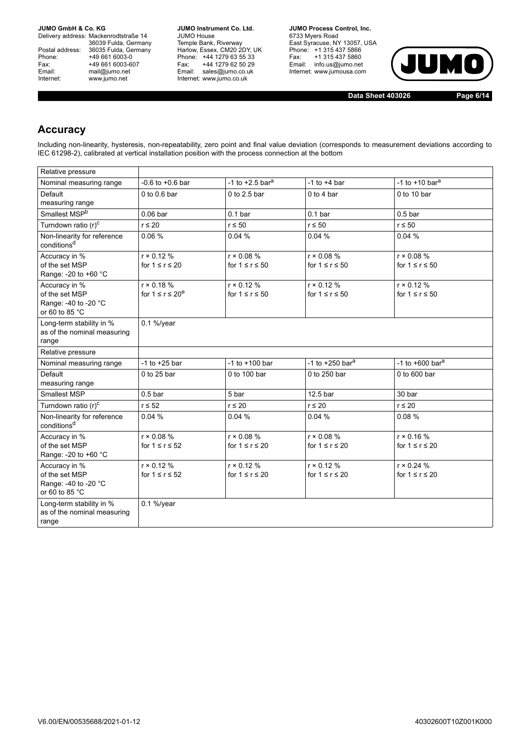Delivery address: Mackenrodtstraße 14 36039 Fulda, Germany<br>Postal address: 36035 Fulda, Germany Phone: +49 661 6003-0<br>
Fax: +49 661 6003-6<br>
Email: mail@jumo.net +49 661 6003-607 Email: mail@jumo.net<br>Internet: www.iumo.net www.jumo.net

**JUMO Instrument Co. Ltd.** JUMO House Temple Bank, Riverway<br>Harlow, Essex, CM20 2DY, UK Phone: +44 1279 63 55 33<br>Fax: +44 1279 62 50 29 +44 1279 62 50 29 Email: sales@jumo.co.uk Internet: www.jumo.co.uk

**JUMO Process Control. Inc.** 6733 Myers Road East Syracuse, NY 13057, USA<br>Phone: +1 315 437 5866<br>Fax: +1 315 437 5860 Email: info.us@jumo.net Internet: www.jumousa.com



**Data Sheet 403026 Page 6/14**

### **Accuracy**

Including non-linearity, hysteresis, non-repeatability, zero point and final value deviation (corresponds to measurement deviations according to IEC 61298-2), calibrated at vertical installation position with the process connection at the bottom

| Relative pressure                                                |                        |                               |                               |                               |
|------------------------------------------------------------------|------------------------|-------------------------------|-------------------------------|-------------------------------|
| Nominal measuring range                                          | $-0.6$ to $+0.6$ bar   | -1 to $+2.5$ bar <sup>a</sup> | $-1$ to $+4$ bar              | -1 to $+10$ bar <sup>a</sup>  |
| Default                                                          | 0 to $0.6$ bar         | 0 to 2.5 bar                  | $0$ to 4 bar                  | $0$ to 10 bar                 |
| measuring range                                                  |                        |                               |                               |                               |
| Smallest MSP <sup>b</sup>                                        | 0.06 <sub>bar</sub>    | 0.1 <sub>bar</sub>            | 0.1 <sub>bar</sub>            | $0.5b$ ar                     |
| Turndown ratio (r) <sup>c</sup>                                  | $r \leq 20$            | $r \leq 50$                   | $r \leq 50$                   | $r \leq 50$                   |
| Non-linearity for reference<br>conditions <sup>d</sup>           | 0.06%                  | 0.04%                         | 0.04%                         | 0.04%                         |
| Accuracy in %                                                    | $r \times 0.12 \%$     | $r \times 0.08 \%$            | $r \times 0.08 \%$            | $r \times 0.08 \%$            |
| of the set MSP<br>Range: -20 to +60 °C                           | for $1 \le r \le 20$   | for $1 \le r \le 50$          | for $1 \le r \le 50$          | for $1 \le r \le 50$          |
| Accuracy in %                                                    | $r \times 0.18 \%$     | $r \times 0.12 \%$            | $r \times 0.12 \%$            | $r \times 0.12 \%$            |
| of the set MSP                                                   | for $1 \le r \le 20^e$ | for $1 \le r \le 50$          | for $1 \le r \le 50$          | for $1 \le r \le 50$          |
| Range: -40 to -20 °C                                             |                        |                               |                               |                               |
| or 60 to 85 °C                                                   |                        |                               |                               |                               |
| Long-term stability in %<br>as of the nominal measuring          | $0.1\%$ /year          |                               |                               |                               |
| range                                                            |                        |                               |                               |                               |
| Relative pressure                                                |                        |                               |                               |                               |
| Nominal measuring range                                          | $-1$ to $+25$ bar      | $-1$ to $+100$ bar            | -1 to $+250$ bar <sup>a</sup> | -1 to $+600$ bar <sup>a</sup> |
| Default                                                          | $0$ to 25 bar          | 0 to 100 bar                  | 0 to 250 bar                  | 0 to 600 bar                  |
| measuring range                                                  |                        |                               |                               |                               |
| <b>Smallest MSP</b>                                              | $0.5b$ ar              | 5 bar                         | 12.5 bar                      | 30 bar                        |
| Turndown ratio (r) <sup>c</sup>                                  | $r \leq 52$            | $r \leq 20$                   | $r \leq 20$                   | $r \leq 20$                   |
| Non-linearity for reference<br>conditions <sup>d</sup>           | 0.04%                  | 0.04%                         | 0.04%                         | 0.08%                         |
| Accuracy in %                                                    | $r \times 0.08 \%$     | $r \times 0.08 \%$            | $r \times 0.08 \%$            | $r \times 0.16 \%$            |
| of the set MSP                                                   | for $1 \le r \le 52$   | for $1 \le r \le 20$          | for $1 \le r \le 20$          | for $1 \le r \le 20$          |
| Range: - 20 to +60 °C                                            |                        |                               |                               |                               |
| Accuracy in %<br>of the set MSP                                  | $r \times 0.12 \%$     | $r \times 0.12 \%$            | $r \times 0.12 \%$            | $r \times 0.24 \%$            |
| Range: -40 to -20 °C                                             | for $1 \le r \le 52$   | for $1 \le r \le 20$          | for $1 \le r \le 20$          | for $1 \le r \le 20$          |
| or 60 to 85 °C                                                   |                        |                               |                               |                               |
| Long-term stability in %<br>as of the nominal measuring<br>range | $0.1\%$ /year          |                               |                               |                               |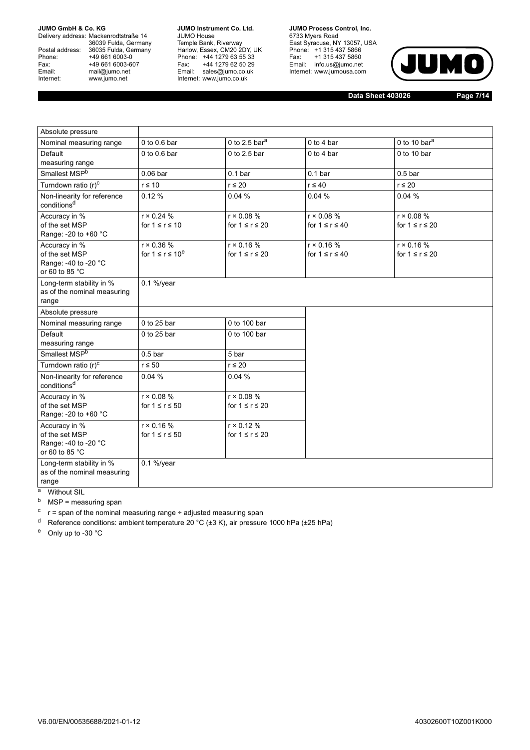Delivery address: Mackenrodtstraße 14 36039 Fulda, Germany<br>Postal address: 36035 Fulda, Germany Phone: +49 661 6003-0<br>
Fax: +49 661 6003-6<br>
Email: mail@jumo.net +49 661 6003-607 Email: mail@jumo.net<br>Internet: www.iumo.net www.jumo.net

**JUMO Instrument Co. Ltd.** JUMO House Temple Bank, Riverway<br>Harlow, Essex, CM20 2DY, UK Phone: +44 1279 63 55 33<br>Fax: +44 1279 62 50 29 +44 1279 62 50 29 Email: sales@jumo.co.uk Internet: www.jumo.co.uk

**JUMO Process Control, Inc.** 6733 Myers Road East Syracuse, NY 13057, USA<br>Phone: +1 315 437 5866<br>Fax: +1 315 437 5860 Email: info.us@jumo.net Internet: www.jumousa.com



**Data Sheet 403026 Page 7/14**

| Absolute pressure                                                         |                                              |                                            |                                            |                                            |
|---------------------------------------------------------------------------|----------------------------------------------|--------------------------------------------|--------------------------------------------|--------------------------------------------|
| Nominal measuring range                                                   | 0 to 0.6 bar                                 | 0 to 2.5 bar <sup>a</sup>                  | 0 to 4 bar                                 | 0 to 10 $bara$                             |
| Default<br>measuring range                                                | $0$ to $0.6$ bar                             | $0$ to 2.5 bar                             | $0$ to 4 bar                               | $0$ to 10 bar                              |
| Smallest MSP <sup>b</sup>                                                 | $0.06$ bar                                   | 0.1 <sub>bar</sub>                         | 0.1 <sub>bar</sub>                         | $0.5b$ ar                                  |
| Turndown ratio (r) <sup>c</sup>                                           | $r \leq 10$                                  | $r \leq 20$                                | $r \leq 40$                                | $r \leq 20$                                |
| Non-linearity for reference<br>conditions <sup>d</sup>                    | 0.12%                                        | 0.04%                                      | 0.04%                                      | 0.04%                                      |
| Accuracy in %<br>of the set MSP<br>Range: -20 to +60 °C                   | $r \times 0.24 \%$<br>for $1 \le r \le 10$   | $r \times 0.08 \%$<br>for $1 \le r \le 20$ | $r \times 0.08 \%$<br>for $1 \le r \le 40$ | $r \times 0.08 \%$<br>for $1 \le r \le 20$ |
| Accuracy in %<br>of the set MSP<br>Range: -40 to -20 °C<br>or 60 to 85 °C | $r \times 0.36 \%$<br>for $1 \le r \le 10^e$ | $r \times 0.16 \%$<br>for $1 \le r \le 20$ | $r \times 0.16 \%$<br>for $1 \le r \le 40$ | $r \times 0.16 \%$<br>for $1 \le r \le 20$ |
| Long-term stability in %<br>as of the nominal measuring<br>range          | $0.1\%$ /year                                |                                            |                                            |                                            |
| Absolute pressure                                                         |                                              |                                            |                                            |                                            |
| Nominal measuring range                                                   | 0 to 25 bar                                  | 0 to 100 bar                               |                                            |                                            |
| Default<br>measuring range                                                | 0 to 25 bar                                  | 0 to 100 bar                               |                                            |                                            |
| Smallest MSP <sup>b</sup>                                                 | 0.5 <sub>b</sub>                             | 5 bar                                      |                                            |                                            |
| Turndown ratio (r) <sup>c</sup>                                           | $r \leq 50$                                  | $r \leq 20$                                |                                            |                                            |
| Non-linearity for reference<br>conditions <sup>d</sup>                    | 0.04%                                        | 0.04%                                      |                                            |                                            |
| Accuracy in %<br>of the set MSP<br>Range: -20 to +60 °C                   | $r \times 0.08 \%$<br>for $1 \le r \le 50$   | $r \times 0.08 \%$<br>for $1 \le r \le 20$ |                                            |                                            |
| Accuracy in %<br>of the set MSP<br>Range: -40 to -20 °C<br>or 60 to 85 °C | $r \times 0.16 \%$<br>for $1 \le r \le 50$   | $r \times 0.12 \%$<br>for $1 \le r \le 20$ |                                            |                                            |
| Long-term stability in %<br>as of the nominal measuring<br>range<br>а     | $0.1\%$ /year                                |                                            |                                            |                                            |
| <b>Without SIL</b>                                                        |                                              |                                            |                                            |                                            |

 $<sup>b</sup>$  MSP = measuring span</sup>

 $\cdot$  r = span of the nominal measuring range ÷ adjusted measuring span

<sup>d</sup> Reference conditions: ambient temperature 20 °C ( $\pm$ 3 K), air pressure 1000 hPa ( $\pm$ 25 hPa)

<sup>e</sup> Only up to -30 °C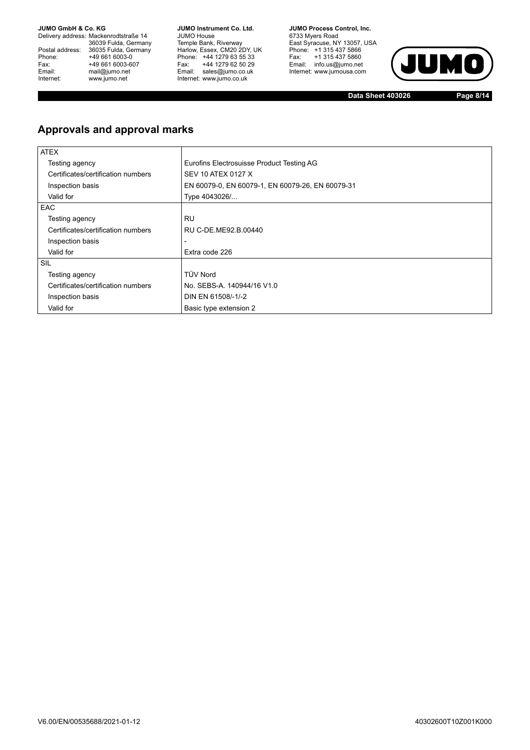Delivery address: Mackenrodtstraße 14 36039 Fulda, Germany<br>Postal address: 36035 Fulda, Germany Phone: +49 661 6003-0<br>
Fax: +49 661 6003-6<br>
Email: mail@jumo.net +49 661 6003-607 Email: mail@jumo.net<br>Internet: www.iumo.net www.jumo.net

**JUMO Instrument Co. Ltd.** JUMO House Temple Bank, Riverway<br>Harlow, Essex, CM20 2DY, UK<br>Phone: +44 1279 63 55 33 Fax: +44 1279 62 50 29<br>Email: sales@jumo.co.uk Internet: www.jumo.co.uk

**JUMO Process Control. Inc.** 6733 Myers Road East Syracuse, NY 13057, USA<br>Phone: +1 315 437 5866<br>Fax: +1 315 437 5860 Email: info.us@jumo.net Internet: www.jumousa.com



**Data Sheet 403026 Page 8/14**

## **Approvals and approval marks**

| <b>ATEX</b>                        |                                                  |
|------------------------------------|--------------------------------------------------|
| Testing agency                     | Eurofins Electrosuisse Product Testing AG        |
| Certificates/certification numbers | SEV 10 ATEX 0127 X                               |
| Inspection basis                   | EN 60079-0, EN 60079-1, EN 60079-26, EN 60079-31 |
| Valid for                          | Type 4043026/                                    |
| <b>EAC</b>                         |                                                  |
| Testing agency                     | <b>RU</b>                                        |
| Certificates/certification numbers | RU C-DE.ME92.B.00440                             |
| Inspection basis                   | -                                                |
| Valid for                          | Extra code 226                                   |
| SIL                                |                                                  |
| Testing agency                     | <b>TÜV Nord</b>                                  |
| Certificates/certification numbers | No. SEBS-A. 140944/16 V1.0                       |
| Inspection basis                   | DIN EN 61508/-1/-2                               |
| Valid for                          | Basic type extension 2                           |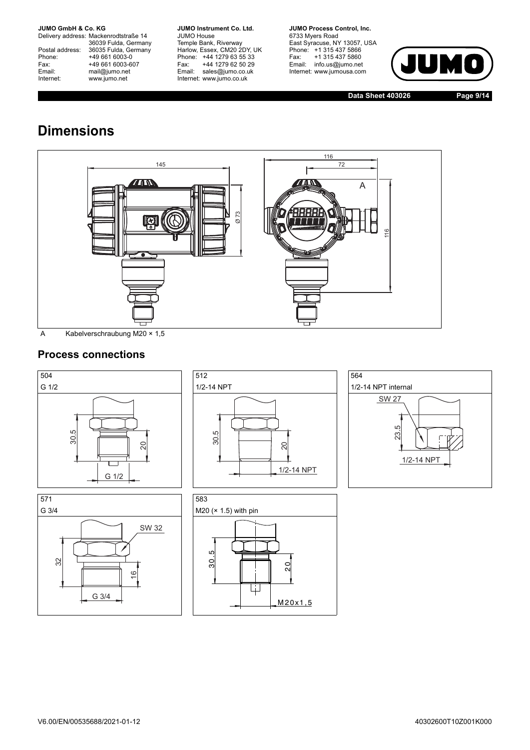Delivery address: Mackenrodtstraße 14 36039 Fulda, Germany<br>Postal address: 36035 Fulda, Germany Phone: +49 661 6003-0<br>
Fax: +49 661 6003-6<br>
Email: mail@jumo.net +49 661 6003-607 Email: mail@jumo.net<br>Internet: www.iumo.net www.jumo.net

**JUMO Instrument Co. Ltd.** JUMO House Temple Bank, Riverway<br>Harlow, Essex, CM20 2DY, UK Phone: +44 1279 63 55 33<br>Fax: +44 1279 62 50 29 +44 1279 62 50 29 Email: sales@jumo.co.uk Internet: www.jumo.co.uk

**JUMO Process Control, Inc.** 6733 Myers Road East Syracuse, NY 13057, USA<br>Phone: +1 315 437 5866<br>Fax: +1 315 437 5860 Email: info.us@jumo.net Internet: www.jumousa.com



**Data Sheet 403026 Page 9/14**

# **Dimensions**



## **Process connections**









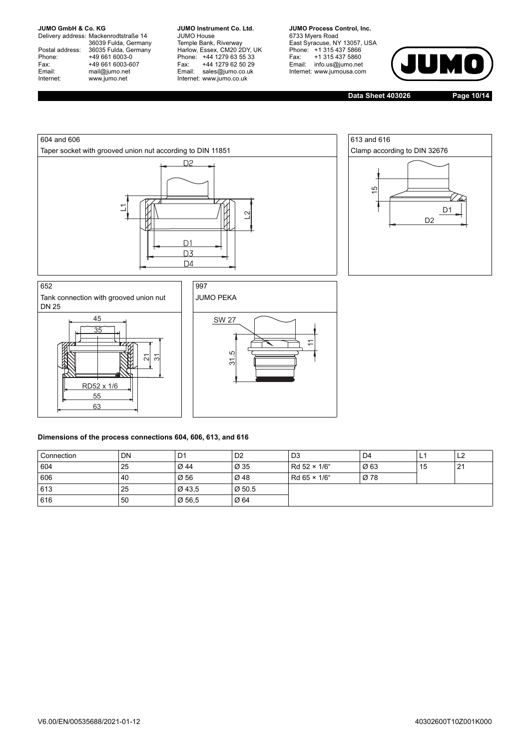Delivery address: Mackenrodtstraße 14 36039 Fulda, Germany<br>Postal address: 36035 Fulda, Germany Phone: +49 661 6003-0<br>
Fax: +49 661 6003-6<br>
Email: mail@jumo.net +49 661 6003-607 mail@jumo.net Internet: www.jumo.net

**JUMO Instrument Co. Ltd.** JUMO House Temple Bank, Riverway<br>Harlow, Essex, CM20 2DY, UK Phone: +44 1279 63 55 33<br>Fax: +44 1279 62 50 29 +44 1279 62 50 29 Email: sales@jumo.co.uk Internet: www.jumo.co.uk

**JUMO Process Control. Inc.** 6733 Myers Road East Syracuse, NY 13057, USA<br>Phone: +1 315 437 5866<br>Fax: +1 315 437 5860 Email: info.us@jumo.net Internet: www.jumousa.com



**Data Sheet 403026 Page 10/14**





Tank connection with grooved union nut



JUMO PEKA



#### **Dimensions of the process connections 604, 606, 613, and 616**

| Connection | <b>DN</b> | D1     | D <sub>2</sub>     | D <sub>3</sub> | D <sub>4</sub> | <u>ь</u> | L <sub>2</sub> |
|------------|-----------|--------|--------------------|----------------|----------------|----------|----------------|
| 604        | 25        | Ø 44   | Ø 35               | Rd 52 × 1/6"   | Ø63            | 15       | 21             |
| 606        | 40        | Ø 56   | Ø 48               | Rd 65 × 1/6"   | Ø 78           |          |                |
| 613        | 25        | Ø 43,5 | $\varnothing$ 50.5 |                |                |          |                |
| 616        | 50        | Ø 56,5 | Ø 64               |                |                |          |                |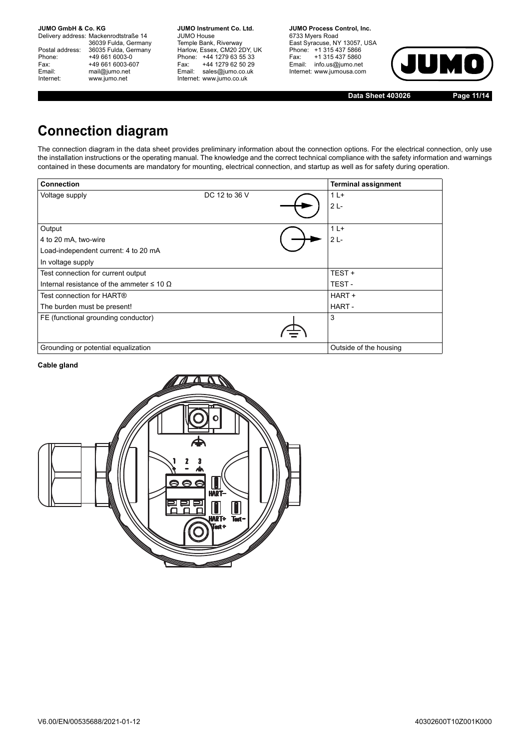Delivery address: Mackenrodtstraße 14 36039 Fulda, Germany<br>Postal address: 36035 Fulda, Germany Phone: +49 661 6003-0<br>
Fax: +49 661 6003-6<br>
Email: mail@jumo.net +49 661 6003-607 mail@jumo.net Internet: www.jumo.net

**JUMO Instrument Co. Ltd.** JUMO House Temple Bank, Riverway<br>Harlow, Essex, CM20 2DY, UK Phone: +44 1279 63 55 33<br>Fax: +44 1279 62 50 29 +44 1279 62 50 29 Email: sales@jumo.co.uk Internet: www.jumo.co.uk

**JUMO Process Control. Inc.** 6733 Myers Road East Syracuse, NY 13057, USA Phone: +1 315 437 5866<br>Fax: +1 315 437 5860 Email: info.us@jumo.net Internet: www.jumousa.com



**Data Sheet 403026 Page 11/14**

# **Connection diagram**

The connection diagram in the data sheet provides preliminary information about the connection options. For the electrical connection, only use the installation instructions or the operating manual. The knowledge and the correct technical compliance with the safety information and warnings contained in these documents are mandatory for mounting, electrical connection, and startup as well as for safety during operation.

| <b>Connection</b>                                   |               | <b>Terminal assignment</b> |
|-----------------------------------------------------|---------------|----------------------------|
| Voltage supply                                      | DC 12 to 36 V | $1+$                       |
|                                                     |               | $2L -$                     |
|                                                     |               |                            |
| Output                                              |               | $1L+$                      |
| 4 to 20 mA, two-wire                                |               | $2L -$                     |
| Load-independent current: 4 to 20 mA                |               |                            |
| In voltage supply                                   |               |                            |
| Test connection for current output                  |               | TEST+                      |
| Internal resistance of the ammeter $\leq 10 \Omega$ |               | TEST-                      |
| Test connection for $\mathsf{HART}\circledcirc$     |               | HART +                     |
| The burden must be present!                         |               | HART-                      |
| FE (functional grounding conductor)                 |               | 3                          |
|                                                     |               |                            |
| Grounding or potential equalization                 |               | Outside of the housing     |

#### **Cable gland**

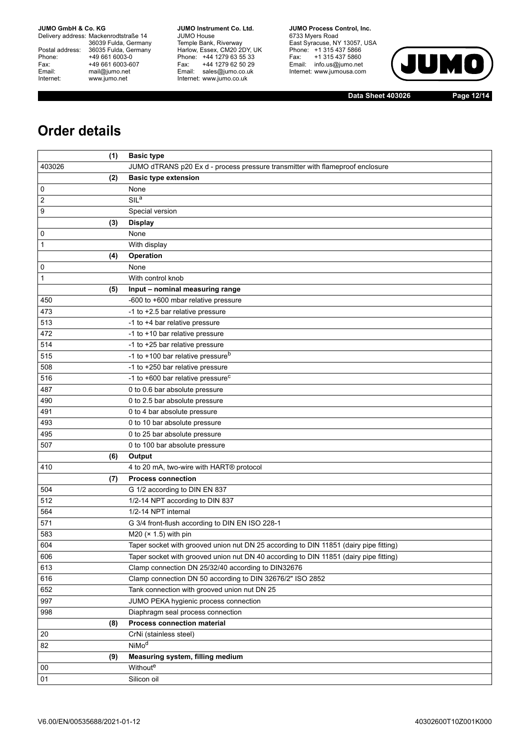Delivery address: Mackenrodtstraße 14 36039 Fulda, Germany<br>Postal address: 36035 Fulda, Germany Phone: +49 661 6003-0<br>
Fax: +49 661 6003-6<br>
Email: mail@jumo.net +49 661 6003-607 Email: mail@jumo.net<br>Internet: www.iumo.net www.jumo.net

**JUMO Instrument Co. Ltd.** JUMO House Temple Bank, Riverway<br>Harlow, Essex, CM20 2DY, UK<br>Phone: +44 1279 63 55 33 Fax: +44 1279 62 50 29 Fax: +44 1279 62 50 29<br>Email: sales@jumo.co.uk Internet: www.jumo.co.uk

**JUMO Process Control. Inc.** 6733 Myers Road East Syracuse, NY 13057, USA<br>Phone: +1 315 437 5866<br>Fax: +1 315 437 5860 Email: info.us@jumo.net Internet: www.jumousa.com



**Data Sheet 403026 Page 12/14**

# **Order details**

|        | (1) | <b>Basic type</b>                                                                     |
|--------|-----|---------------------------------------------------------------------------------------|
| 403026 |     | JUMO dTRANS p20 Ex d - process pressure transmitter with flameproof enclosure         |
|        | (2) | <b>Basic type extension</b>                                                           |
| 0      |     | None                                                                                  |
| 2      |     | SIL <sup>a</sup>                                                                      |
| 9      |     | Special version                                                                       |
|        | (3) | <b>Display</b>                                                                        |
| 0      |     | None                                                                                  |
| 1      |     | With display                                                                          |
|        | (4) | Operation                                                                             |
| 0      |     | None                                                                                  |
| 1      |     | With control knob                                                                     |
|        | (5) | Input - nominal measuring range                                                       |
| 450    |     | -600 to +600 mbar relative pressure                                                   |
| 473    |     | -1 to +2.5 bar relative pressure                                                      |
| 513    |     | -1 to +4 bar relative pressure                                                        |
| 472    |     | -1 to +10 bar relative pressure                                                       |
| 514    |     | -1 to +25 bar relative pressure                                                       |
| 515    |     | -1 to +100 bar relative pressure <sup>b</sup>                                         |
| 508    |     | -1 to +250 bar relative pressure                                                      |
| 516    |     | -1 to +600 bar relative pressure <sup>c</sup>                                         |
| 487    |     | 0 to 0.6 bar absolute pressure                                                        |
| 490    |     | 0 to 2.5 bar absolute pressure                                                        |
| 491    |     | 0 to 4 bar absolute pressure                                                          |
| 493    |     | 0 to 10 bar absolute pressure                                                         |
| 495    |     | 0 to 25 bar absolute pressure                                                         |
| 507    |     | 0 to 100 bar absolute pressure                                                        |
|        | (6) | Output                                                                                |
| 410    |     | 4 to 20 mA, two-wire with HART® protocol                                              |
|        | (7) | <b>Process connection</b>                                                             |
| 504    |     | G 1/2 according to DIN EN 837                                                         |
| 512    |     | 1/2-14 NPT according to DIN 837                                                       |
| 564    |     | 1/2-14 NPT internal                                                                   |
| 571    |     | G 3/4 front-flush according to DIN EN ISO 228-1                                       |
| 583    |     | M20 $(x 1.5)$ with pin                                                                |
| 604    |     | Taper socket with grooved union nut DN 25 according to DIN 11851 (dairy pipe fitting) |
| 606    |     | Taper socket with grooved union nut DN 40 according to DIN 11851 (dairy pipe fitting) |
| 613    |     | Clamp connection DN 25/32/40 according to DIN32676                                    |
| 616    |     | Clamp connection DN 50 according to DIN 32676/2" ISO 2852                             |
| 652    |     | Tank connection with grooved union nut DN 25                                          |
| 997    |     | JUMO PEKA hygienic process connection                                                 |
| 998    |     | Diaphragm seal process connection                                                     |
|        | (8) | Process connection material                                                           |
| 20     |     | CrNi (stainless steel)                                                                |
| 82     |     | NiMo <sup>d</sup>                                                                     |
|        | (9) | Measuring system, filling medium                                                      |
| 00     |     | Withoute                                                                              |
| 01     |     | Silicon oil                                                                           |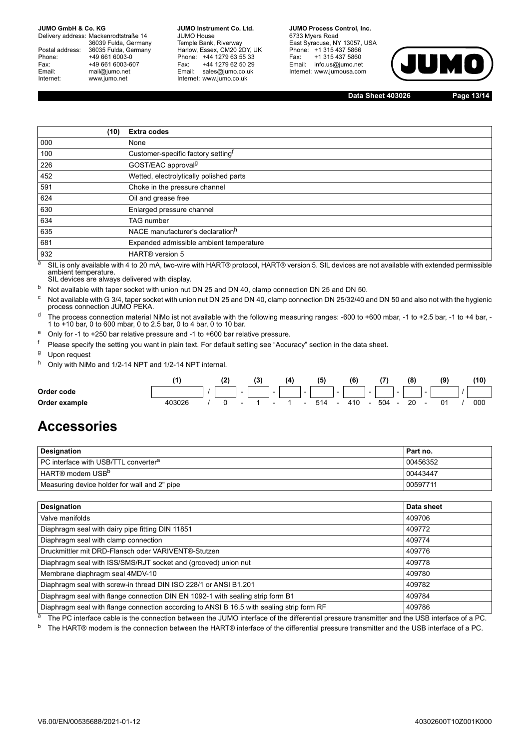Delivery address: Mackenrodtstraße 14 36039 Fulda, Germany Postal address: 36035 Fulda, Germany<br>Phone: +49 661 6003-0 Phone: +49 661 6003-0<br>Fax: +49 661 6003-6 Fax: +49 661 6003-607<br>
Fmail: mail@iumo.net mail@jumo.net Internet: www.jumo.net

**-BUMO Instrument Co. Ltd.** JUMO House Temple Bank, Riverway Harlow, Essex, CM20 2DY, UK Phone: +44 1279 63 55 33<br>Fax: +44 1279 62 50 29 +44 1279 62 50 29 Email: sales@jumo.co.uk Internet: www.jumo.co.uk

**-BURG Process Control Inc.** 6733 Mvers Road East Syracuse, NY 13057, USA Phone: +1 315 437 5866<br>Fax: +1 315 437 5860 +1 315 437 5860 Email: info.us@jumo.net Internet: www.jumousa.com



**Data Sheet 403026 Page 13/14**

| (10) | <b>Extra codes</b>                             |
|------|------------------------------------------------|
| 000  | None                                           |
| 100  | Customer-specific factory setting <sup>t</sup> |
| 226  | GOST/EAC approval <sup>g</sup>                 |
| 452  | Wetted, electrolytically polished parts        |
| 591  | Choke in the pressure channel                  |
| 624  | Oil and grease free                            |
| 630  | Enlarged pressure channel                      |
| 634  | <b>TAG</b> number                              |
| 635  | NACE manufacturer's declaration <sup>h</sup>   |
| 681  | Expanded admissible ambient temperature        |
| 932  | HART <sup>®</sup> version 5                    |

a SIL is only available with 4 to 20 mA, two-wire with HART® protocol, HART® version 5. SIL devices are not available with extended permissible ambient temperature. SIL devices are always delivered with display.

b Not available with taper socket with union nut DN 25 and DN 40, clamp connection DN 25 and DN 50.

 $\rm ^c$  Not available with G 3/4, taper socket with union nut DN 25 and DN 40, clamp connection DN 25/32/40 and DN 50 and also not with the hygienic<br>process connection JUMO PEKA.

<sup>d</sup> The process connection material NiMo ist not available with the following measuring ranges: -600 to +600 mbar, -1 to +2.5 bar, -1 to +4 bar, -1 to +10 bar, 0 to 600 mbar, 0 to 2.5 bar, 0 to 4 bar, 0 to 10 bar.

<sup>e</sup> Only for -1 to +250 bar relative pressure and -1 to +600 bar relative pressure.

<sup>f</sup> Please specify the setting you want in plain text. For default setting see "Accuracy" section in the data sheet.

<sup>g</sup> Upon request

h Only with NiMo and 1/2-14 NPT and 1/2-14 NPT internal.

|               |  |                          | (3) |        | (4) |        | (5) |                          | (6) |        |     |                          | (8) |        | (9) | (10) |
|---------------|--|--------------------------|-----|--------|-----|--------|-----|--------------------------|-----|--------|-----|--------------------------|-----|--------|-----|------|
| Order code    |  | $\sim$                   |     | $\sim$ |     | $\sim$ |     | $\overline{\phantom{a}}$ |     | $\sim$ |     | $\overline{\phantom{a}}$ |     | $\sim$ |     |      |
| Order example |  | $\overline{\phantom{0}}$ |     | $\sim$ |     | $\sim$ | 514 | $\overline{\phantom{0}}$ | 410 |        | 504 |                          | 20  |        | 01  | 000  |

## **Accessories**

| Designation                                             | Part no. |
|---------------------------------------------------------|----------|
| <b>PC</b> interface with USB/TTL converter <sup>a</sup> | 00456352 |
| HART® modem USB <sup>b</sup>                            | 00443447 |
| Measuring device holder for wall and 2" pipe            | 00597711 |

| Designation                                                                               | Data sheet |
|-------------------------------------------------------------------------------------------|------------|
| Valve manifolds                                                                           | 409706     |
| Diaphragm seal with dairy pipe fitting DIN 11851                                          | 409772     |
| Diaphragm seal with clamp connection                                                      | 409774     |
| Druckmittler mit DRD-Flansch oder VARIVENT®-Stutzen                                       | 409776     |
| Diaphragm seal with ISS/SMS/RJT socket and (grooved) union nut                            | 409778     |
| Membrane diaphragm seal 4MDV-10                                                           | 409780     |
| Diaphragm seal with screw-in thread DIN ISO 228/1 or ANSI B1.201                          | 409782     |
| Diaphragm seal with flange connection DIN EN 1092-1 with sealing strip form B1            | 409784     |
| Diaphragm seal with flange connection according to ANSI B 16.5 with sealing strip form RF | 409786     |

<sup>a</sup> The PC interface cable is the connection between the JUMO interface of the differential pressure transmitter and the USB interface of a PC.

b The HART® modem is the connection between the HART® interface of the differential pressure transmitter and the USB interface of a PC.